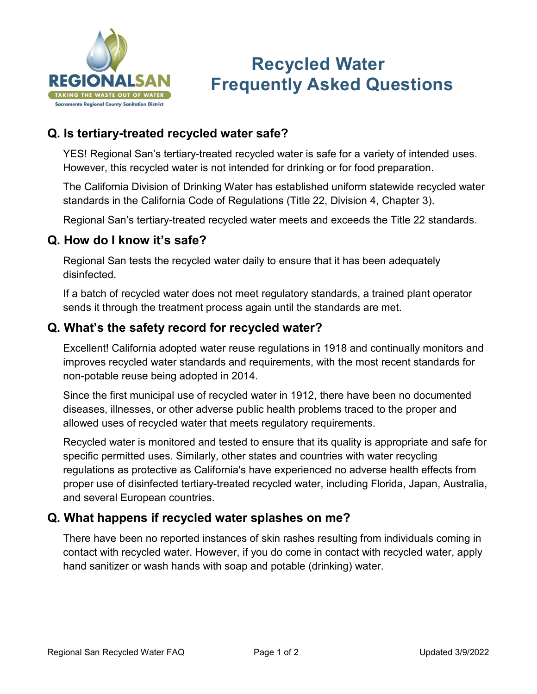

# **Recycled Water Frequently Asked Questions**

## **Q. Is tertiary-treated recycled water safe?**

YES! Regional San's tertiary-treated recycled water is safe for a variety of intended uses. However, this recycled water is not intended for drinking or for food preparation.

The California Division of Drinking Water has established uniform statewide recycled water standards in the California Code of Regulations (Title 22, Division 4, Chapter 3).

Regional San's tertiary-treated recycled water meets and exceeds the Title 22 standards.

#### **Q. How do I know it's safe?**

Regional San tests the recycled water daily to ensure that it has been adequately disinfected.

If a batch of recycled water does not meet regulatory standards, a trained plant operator sends it through the treatment process again until the standards are met.

#### **Q. What's the safety record for recycled water?**

Excellent! California adopted water reuse regulations in 1918 and continually monitors and improves recycled water standards and requirements, with the most recent standards for non-potable reuse being adopted in 2014.

Since the first municipal use of recycled water in 1912, there have been no documented diseases, illnesses, or other adverse public health problems traced to the proper and allowed uses of recycled water that meets regulatory requirements.

Recycled water is monitored and tested to ensure that its quality is appropriate and safe for specific permitted uses. Similarly, other states and countries with water recycling regulations as protective as California's have experienced no adverse health effects from proper use of disinfected tertiary-treated recycled water, including Florida, Japan, Australia, and several European countries.

#### **Q. What happens if recycled water splashes on me?**

There have been no reported instances of skin rashes resulting from individuals coming in contact with recycled water. However, if you do come in contact with recycled water, apply hand sanitizer or wash hands with soap and potable (drinking) water.